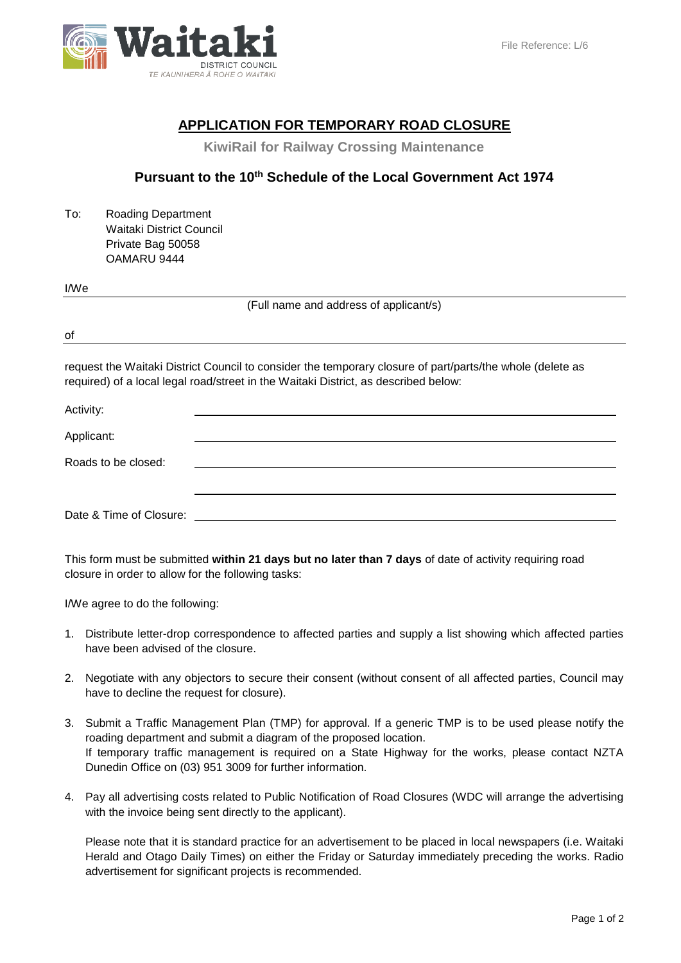

# **APPLICATION FOR TEMPORARY ROAD CLOSURE**

 **KiwiRail for Railway Crossing Maintenance**

## **Pursuant to the 10th Schedule of the Local Government Act 1974**

To: Roading Department Waitaki District Council Private Bag 50058 OAMARU 9444

#### I/We

(Full name and address of applicant/s)

of

request the Waitaki District Council to consider the temporary closure of part/parts/the whole (delete as required) of a local legal road/street in the Waitaki District, as described below:

| Activity:               |  |
|-------------------------|--|
| Applicant:              |  |
| Roads to be closed:     |  |
| Date & Time of Closure: |  |

This form must be submitted **within 21 days but no later than 7 days** of date of activity requiring road closure in order to allow for the following tasks:

I/We agree to do the following:

- 1. Distribute letter-drop correspondence to affected parties and supply a list showing which affected parties have been advised of the closure.
- 2. Negotiate with any objectors to secure their consent (without consent of all affected parties, Council may have to decline the request for closure).
- 3. Submit a Traffic Management Plan (TMP) for approval. If a generic TMP is to be used please notify the roading department and submit a diagram of the proposed location. If temporary traffic management is required on a State Highway for the works, please contact NZTA Dunedin Office on (03) 951 3009 for further information.
- 4. Pay all advertising costs related to Public Notification of Road Closures (WDC will arrange the advertising with the invoice being sent directly to the applicant).

Please note that it is standard practice for an advertisement to be placed in local newspapers (i.e. Waitaki Herald and Otago Daily Times) on either the Friday or Saturday immediately preceding the works. Radio advertisement for significant projects is recommended.